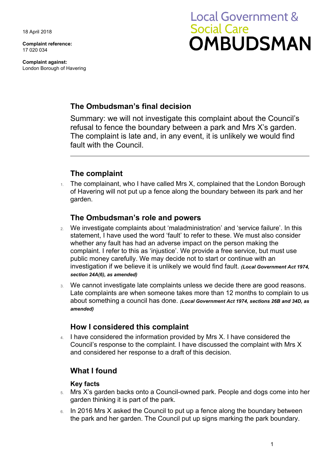18 April 2018

**Complaint reference:**  17 020 034

**Complaint against:**  London Borough of Havering

# **Local Government & Social Care OMBUDSMAN**

## **The Ombudsman's final decision**

 refusal to fence the boundary between a park and Mrs X's garden. Summary: we will not investigate this complaint about the Council's The complaint is late and, in any event, it is unlikely we would find fault with the Council.

# **The complaint**

The complainant, who I have called Mrs X, complained that the London Borough of Havering will not put up a fence along the boundary between its park and her garden.

### **The Ombudsman's role and powers**

- 2. We investigate complaints about 'maladministration' and 'service failure'. In this statement, I have used the word 'fault' to refer to these. We must also consider whether any fault has had an adverse impact on the person making the complaint. I refer to this as 'injustice'. We provide a free service, but must use public money carefully. We may decide not to start or continue with an investigation if we believe it is unlikely we would find fault. *(Local Government Act 1974, section 24A(6), as amended)*
- Late complaints are when someone takes more than 12 months to complain to us 3. We cannot investigate late complaints unless we decide there are good reasons. about something a council has done. *(Local Government Act 1974, sections 26B and 34D, as amended)*

## **How I considered this complaint**

 Council's response to the complaint. I have discussed the complaint with Mrs X 4. I have considered the information provided by Mrs X. I have considered the and considered her response to a draft of this decision.

## **What I found**

#### **Key facts**

- 5. Mrs X's garden backs onto a Council-owned park. People and dogs come into her garden thinking it is part of the park.
- $6.$  In 2016 Mrs X asked the Council to put up a fence along the boundary between the park and her garden. The Council put up signs marking the park boundary.